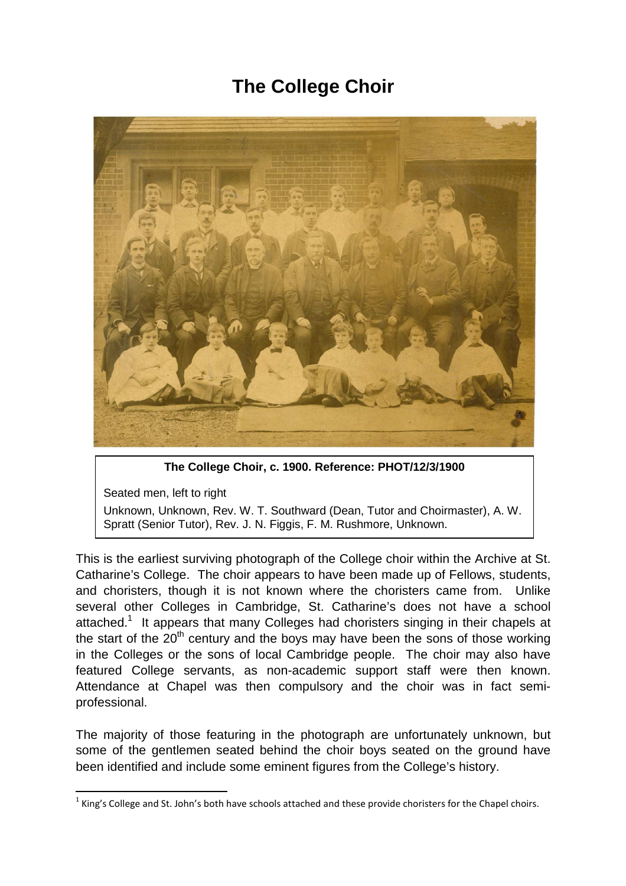## **The College Choir**



**The College Choir, c. 1900. Reference: PHOT/12/3/1900**

Seated men, left to right

 $\overline{a}$ 

Unknown, Unknown, Rev. W. T. Southward (Dean, Tutor and Choirmaster), A. W. Spratt (Senior Tutor), Rev. J. N. Figgis, F. M. Rushmore, Unknown.

This is the earliest surviving photograph of the College choir within the Archive at St. Catharine's College. The choir appears to have been made up of Fellows, students, and choristers, though it is not known where the choristers came from. Unlike several other Colleges in Cambridge, St. Catharine's does not have a school attached.<sup>1</sup> It appears that many Colleges had choristers singing in their chapels at the start of the  $20<sup>th</sup>$  century and the boys may have been the sons of those working in the Colleges or the sons of local Cambridge people. The choir may also have featured College servants, as non-academic support staff were then known. Attendance at Chapel was then compulsory and the choir was in fact semiprofessional.

The majority of those featuring in the photograph are unfortunately unknown, but some of the gentlemen seated behind the choir boys seated on the ground have been identified and include some eminent figures from the College's history.

 $1$  King's College and St. John's both have schools attached and these provide choristers for the Chapel choirs.